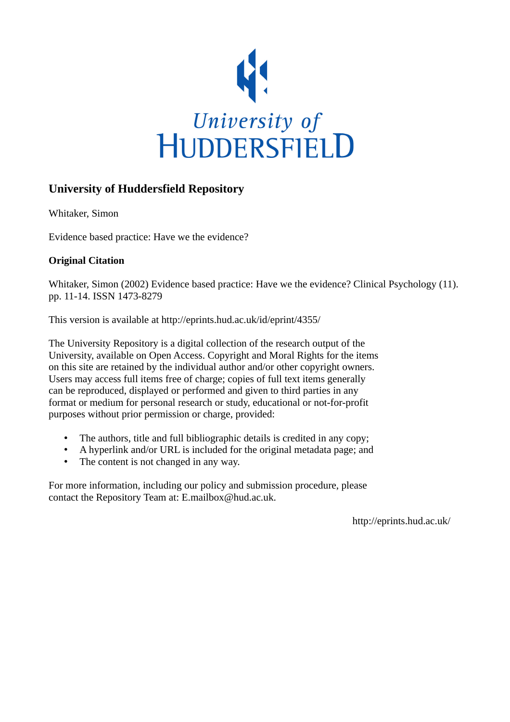

# **University of Huddersfield Repository**

Whitaker, Simon

Evidence based practice: Have we the evidence?

# **Original Citation**

Whitaker, Simon (2002) Evidence based practice: Have we the evidence? Clinical Psychology (11). pp. 11-14. ISSN 1473-8279

This version is available at http://eprints.hud.ac.uk/id/eprint/4355/

The University Repository is a digital collection of the research output of the University, available on Open Access. Copyright and Moral Rights for the items on this site are retained by the individual author and/or other copyright owners. Users may access full items free of charge; copies of full text items generally can be reproduced, displayed or performed and given to third parties in any format or medium for personal research or study, educational or not-for-profit purposes without prior permission or charge, provided:

- The authors, title and full bibliographic details is credited in any copy;
- A hyperlink and/or URL is included for the original metadata page; and
- The content is not changed in any way.

For more information, including our policy and submission procedure, please contact the Repository Team at: E.mailbox@hud.ac.uk.

http://eprints.hud.ac.uk/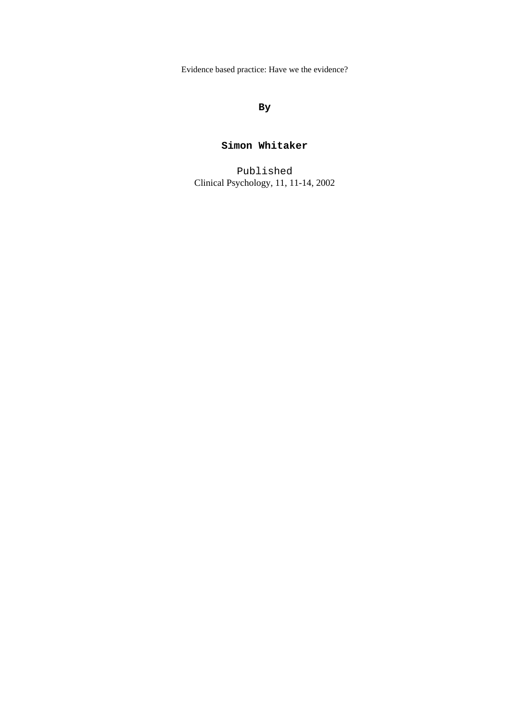Evidence based practice: Have we the evidence?

### **By**

## **Simon Whitaker**

Published Clinical Psychology, 11, 11-14, 2002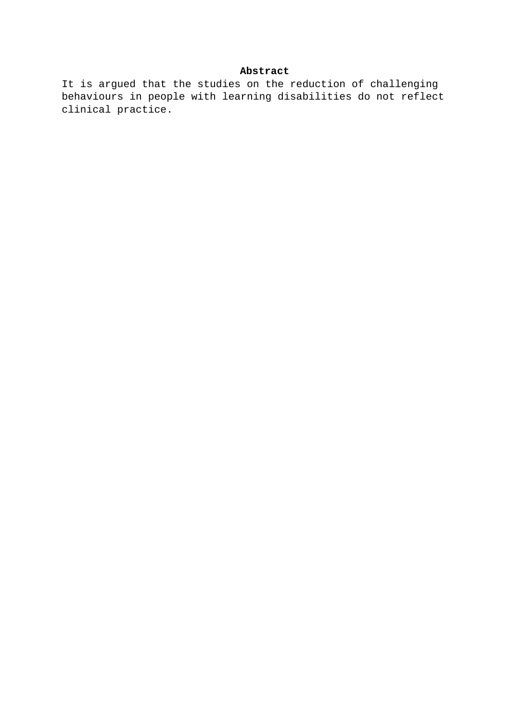#### **Abstract**

It is argued that the studies on the reduction of challenging behaviours in people with learning disabilities do not reflect clinical practice.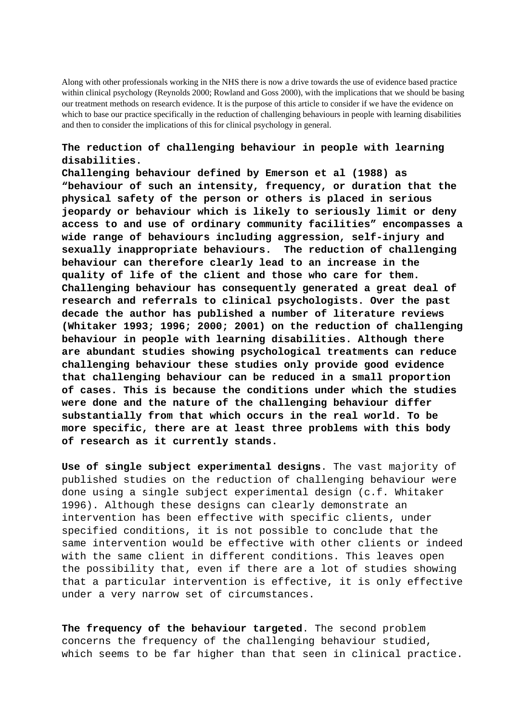Along with other professionals working in the NHS there is now a drive towards the use of evidence based practice within clinical psychology (Reynolds 2000; Rowland and Goss 2000), with the implications that we should be basing our treatment methods on research evidence. It is the purpose of this article to consider if we have the evidence on which to base our practice specifically in the reduction of challenging behaviours in people with learning disabilities and then to consider the implications of this for clinical psychology in general.

#### **The reduction of challenging behaviour in people with learning disabilities.**

**Challenging behaviour defined by Emerson et al (1988) as "behaviour of such an intensity, frequency, or duration that the physical safety of the person or others is placed in serious jeopardy or behaviour which is likely to seriously limit or deny access to and use of ordinary community facilities" encompasses a wide range of behaviours including aggression, self-injury and sexually inappropriate behaviours. The reduction of challenging behaviour can therefore clearly lead to an increase in the quality of life of the client and those who care for them. Challenging behaviour has consequently generated a great deal of research and referrals to clinical psychologists. Over the past decade the author has published a number of literature reviews (Whitaker 1993; 1996; 2000; 2001) on the reduction of challenging behaviour in people with learning disabilities. Although there are abundant studies showing psychological treatments can reduce challenging behaviour these studies only provide good evidence that challenging behaviour can be reduced in a small proportion of cases. This is because the conditions under which the studies were done and the nature of the challenging behaviour differ substantially from that which occurs in the real world. To be more specific, there are at least three problems with this body of research as it currently stands.**

**Use of single subject experimental designs**. The vast majority of published studies on the reduction of challenging behaviour were done using a single subject experimental design (c.f. Whitaker 1996). Although these designs can clearly demonstrate an intervention has been effective with specific clients, under specified conditions, it is not possible to conclude that the same intervention would be effective with other clients or indeed with the same client in different conditions. This leaves open the possibility that, even if there are a lot of studies showing that a particular intervention is effective, it is only effective under a very narrow set of circumstances.

**The frequency of the behaviour targeted**. The second problem concerns the frequency of the challenging behaviour studied, which seems to be far higher than that seen in clinical practice.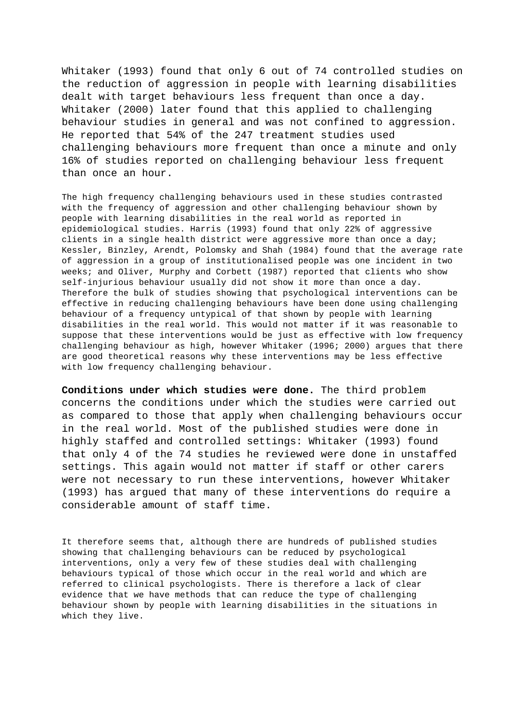Whitaker (1993) found that only 6 out of 74 controlled studies on the reduction of aggression in people with learning disabilities dealt with target behaviours less frequent than once a day. Whitaker (2000) later found that this applied to challenging behaviour studies in general and was not confined to aggression. He reported that 54% of the 247 treatment studies used challenging behaviours more frequent than once a minute and only 16% of studies reported on challenging behaviour less frequent than once an hour.

The high frequency challenging behaviours used in these studies contrasted with the frequency of aggression and other challenging behaviour shown by people with learning disabilities in the real world as reported in epidemiological studies. Harris (1993) found that only 22% of aggressive clients in a single health district were aggressive more than once a day; Kessler, Binzley, Arendt, Polomsky and Shah (1984) found that the average rate of aggression in a group of institutionalised people was one incident in two weeks; and Oliver, Murphy and Corbett (1987) reported that clients who show self-injurious behaviour usually did not show it more than once a day. Therefore the bulk of studies showing that psychological interventions can be effective in reducing challenging behaviours have been done using challenging behaviour of a frequency untypical of that shown by people with learning disabilities in the real world. This would not matter if it was reasonable to suppose that these interventions would be just as effective with low frequency challenging behaviour as high, however Whitaker (1996; 2000) argues that there are good theoretical reasons why these interventions may be less effective with low frequency challenging behaviour.

**Conditions under which studies were done.** The third problem concerns the conditions under which the studies were carried out as compared to those that apply when challenging behaviours occur in the real world. Most of the published studies were done in highly staffed and controlled settings: Whitaker (1993) found that only 4 of the 74 studies he reviewed were done in unstaffed settings. This again would not matter if staff or other carers were not necessary to run these interventions, however Whitaker (1993) has argued that many of these interventions do require a considerable amount of staff time.

It therefore seems that, although there are hundreds of published studies showing that challenging behaviours can be reduced by psychological interventions, only a very few of these studies deal with challenging behaviours typical of those which occur in the real world and which are referred to clinical psychologists. There is therefore a lack of clear evidence that we have methods that can reduce the type of challenging behaviour shown by people with learning disabilities in the situations in which they live.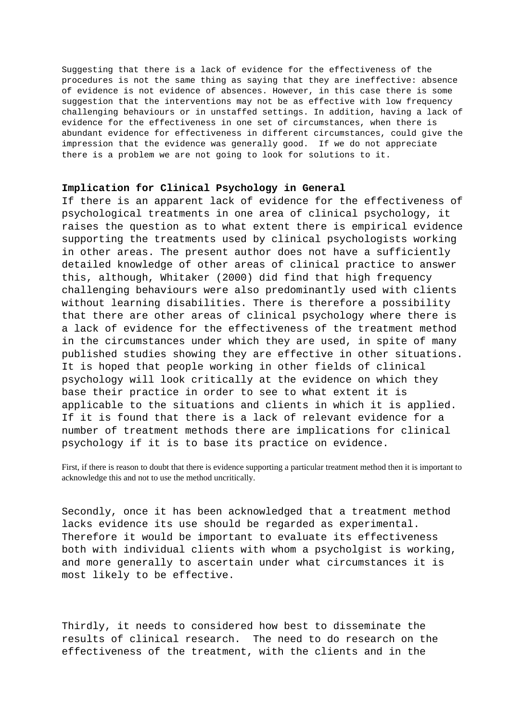Suggesting that there is a lack of evidence for the effectiveness of the procedures is not the same thing as saying that they are ineffective: absence of evidence is not evidence of absences. However, in this case there is some suggestion that the interventions may not be as effective with low frequency challenging behaviours or in unstaffed settings. In addition, having a lack of evidence for the effectiveness in one set of circumstances, when there is abundant evidence for effectiveness in different circumstances, could give the impression that the evidence was generally good. If we do not appreciate there is a problem we are not going to look for solutions to it.

#### **Implication for Clinical Psychology in General**

If there is an apparent lack of evidence for the effectiveness of psychological treatments in one area of clinical psychology, it raises the question as to what extent there is empirical evidence supporting the treatments used by clinical psychologists working in other areas. The present author does not have a sufficiently detailed knowledge of other areas of clinical practice to answer this, although, Whitaker (2000) did find that high frequency challenging behaviours were also predominantly used with clients without learning disabilities. There is therefore a possibility that there are other areas of clinical psychology where there is a lack of evidence for the effectiveness of the treatment method in the circumstances under which they are used, in spite of many published studies showing they are effective in other situations. It is hoped that people working in other fields of clinical psychology will look critically at the evidence on which they base their practice in order to see to what extent it is applicable to the situations and clients in which it is applied. If it is found that there is a lack of relevant evidence for a number of treatment methods there are implications for clinical psychology if it is to base its practice on evidence.

First, if there is reason to doubt that there is evidence supporting a particular treatment method then it is important to acknowledge this and not to use the method uncritically.

Secondly, once it has been acknowledged that a treatment method lacks evidence its use should be regarded as experimental. Therefore it would be important to evaluate its effectiveness both with individual clients with whom a psycholgist is working, and more generally to ascertain under what circumstances it is most likely to be effective.

Thirdly, it needs to considered how best to disseminate the results of clinical research. The need to do research on the effectiveness of the treatment, with the clients and in the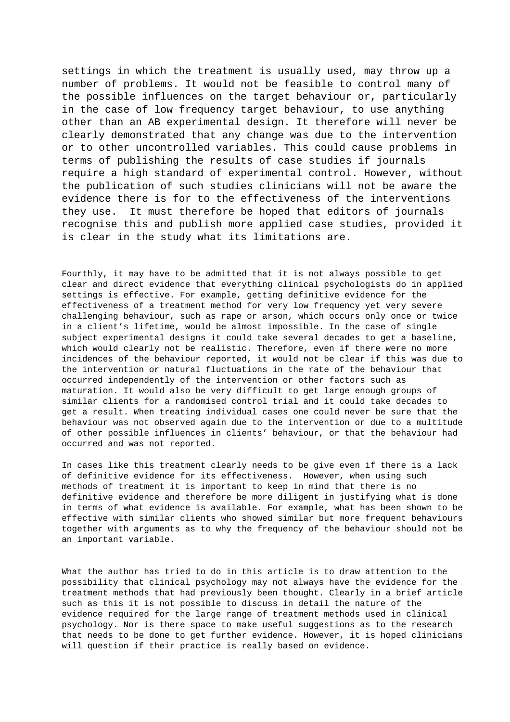settings in which the treatment is usually used, may throw up a number of problems. It would not be feasible to control many of the possible influences on the target behaviour or, particularly in the case of low frequency target behaviour, to use anything other than an AB experimental design. It therefore will never be clearly demonstrated that any change was due to the intervention or to other uncontrolled variables. This could cause problems in terms of publishing the results of case studies if journals require a high standard of experimental control. However, without the publication of such studies clinicians will not be aware the evidence there is for to the effectiveness of the interventions they use. It must therefore be hoped that editors of journals recognise this and publish more applied case studies, provided it is clear in the study what its limitations are.

Fourthly, it may have to be admitted that it is not always possible to get clear and direct evidence that everything clinical psychologists do in applied settings is effective. For example, getting definitive evidence for the effectiveness of a treatment method for very low frequency yet very severe challenging behaviour, such as rape or arson, which occurs only once or twice in a client's lifetime, would be almost impossible. In the case of single subject experimental designs it could take several decades to get a baseline, which would clearly not be realistic. Therefore, even if there were no more incidences of the behaviour reported, it would not be clear if this was due to the intervention or natural fluctuations in the rate of the behaviour that occurred independently of the intervention or other factors such as maturation. It would also be very difficult to get large enough groups of similar clients for a randomised control trial and it could take decades to get a result. When treating individual cases one could never be sure that the behaviour was not observed again due to the intervention or due to a multitude of other possible influences in clients' behaviour, or that the behaviour had occurred and was not reported.

In cases like this treatment clearly needs to be give even if there is a lack of definitive evidence for its effectiveness. However, when using such methods of treatment it is important to keep in mind that there is no definitive evidence and therefore be more diligent in justifying what is done in terms of what evidence is available. For example, what has been shown to be effective with similar clients who showed similar but more frequent behaviours together with arguments as to why the frequency of the behaviour should not be an important variable.

What the author has tried to do in this article is to draw attention to the possibility that clinical psychology may not always have the evidence for the treatment methods that had previously been thought. Clearly in a brief article such as this it is not possible to discuss in detail the nature of the evidence required for the large range of treatment methods used in clinical psychology. Nor is there space to make useful suggestions as to the research that needs to be done to get further evidence. However, it is hoped clinicians will question if their practice is really based on evidence.